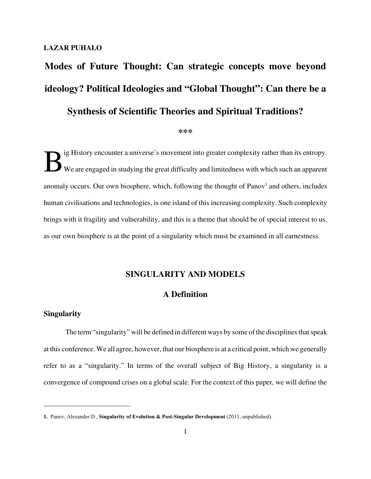#### **LAZAR PUHALO**

# **Modes of Future Thought: Can strategic concepts move beyond ideology? Political Ideologies and "Global Thought": Can there be a Synthesis of Scientific Theories and Spiritual Traditions?**

#### **\*\*\***

B ig History encounter a universe's movement into greater complexity rather than its entropy. We are engaged in studying the great difficulty and limitedness with which such an apparent anomaly occurs. Our own biosphere, which, following the thought of Panov<sup>1</sup> and others, includes human civilisations and technologies, is one island of this increasing complexity. Such complexity brings with it fragility and vulnerability, and this is a theme that should be of special interest to us, as our own biosphere is at the point of a singularity which must be examined in all earnestness.

# **SINGULARITY AND MODELS**

# **A Definition**

## **Singularity**

The term "singularity" will be defined in different ways by some of the disciplines that speak at this conference. We all agree, however, that our biosphere is at a critical point, which we generally refer to as a "singularity." In terms of the overall subject of Big History, a singularity is a convergence of compound crises on a global scale. For the context of this paper, we will define the

**<sup>1.</sup>** Panov, Alexander D., **Singularity of Evolution & Post-Singular Development** (2011, unpublished).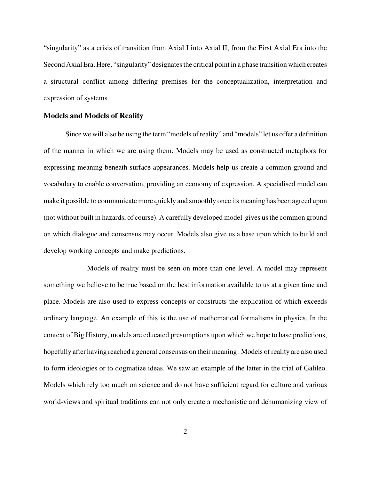"singularity" as a crisis of transition from Axial I into Axial II, from the First Axial Era into the Second Axial Era. Here, "singularity" designates the critical point in a phase transition which creates a structural conflict among differing premises for the conceptualization, interpretation and expression of systems.

#### **Models and Models of Reality**

Since we will also be using the term "models of reality" and "models" let us offer a definition of the manner in which we are using them. Models may be used as constructed metaphors for expressing meaning beneath surface appearances. Models help us create a common ground and vocabulary to enable conversation, providing an economy of expression. A specialised model can make it possible to communicate more quickly and smoothly once its meaning has been agreed upon (not without built in hazards, of course). A carefully developed model gives us the common ground on which dialogue and consensus may occur. Models also give us a base upon which to build and develop working concepts and make predictions.

Models of reality must be seen on more than one level. A model may represent something we believe to be true based on the best information available to us at a given time and place. Models are also used to express concepts or constructs the explication of which exceeds ordinary language. An example of this is the use of mathematical formalisms in physics. In the context of Big History, models are educated presumptions upon which we hope to base predictions, hopefully after having reached a general consensus on their meaning . Models of reality are also used to form ideologies or to dogmatize ideas. We saw an example of the latter in the trial of Galileo. Models which rely too much on science and do not have sufficient regard for culture and various world-views and spiritual traditions can not only create a mechanistic and dehumanizing view of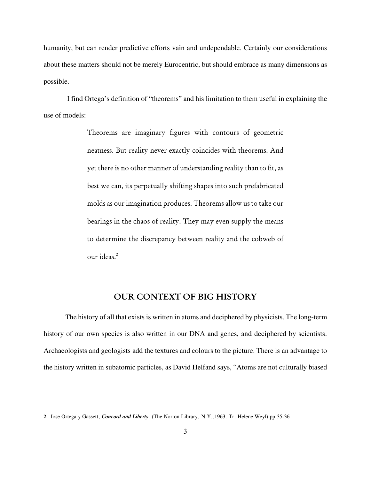humanity, but can render predictive efforts vain and undependable. Certainly our considerations about these matters should not be merely Eurocentric, but should embrace as many dimensions as possible.

I find Ortega's definition of "theorems" and his limitation to them useful in explaining the use of models:

> Theorems are imaginary figures with contours of geometric neatness. But reality never exactly coincides with theorems. And yet there is no other manner of understanding reality than to fit, as best we can, its perpetually shifting shapes into such prefabricated molds as our imagination produces. Theorems allow us to take our bearings in the chaos of reality. They may even supply the means to determine the discrepancy between reality and the cobweb of our ideas.<sup>2</sup>

# **OUR CONTEXT OF BIG HISTORY**

The history of all that exists is written in atoms and deciphered by physicists. The long-term history of our own species is also written in our DNA and genes, and deciphered by scientists. Archaeologists and geologists add the textures and colours to the picture. There is an advantage to the history written in subatomic particles, as David Helfand says, "Atoms are not culturally biased

**<sup>2.</sup>** Jose Ortega y Gassett, *Concord and Liberty*. (The Norton Library, N.Y.,1963. Tr. Helene Weyl) pp.35-36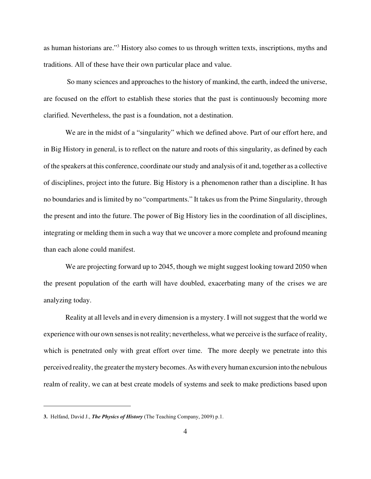as human historians are."<sup>3</sup> History also comes to us through written texts, inscriptions, myths and traditions. All of these have their own particular place and value.

So many sciences and approaches to the history of mankind, the earth, indeed the universe, are focused on the effort to establish these stories that the past is continuously becoming more clarified. Nevertheless, the past is a foundation, not a destination.

We are in the midst of a "singularity" which we defined above. Part of our effort here, and in Big History in general, is to reflect on the nature and roots of this singularity, as defined by each of the speakers at this conference, coordinate our study and analysis of it and, together as a collective of disciplines, project into the future. Big History is a phenomenon rather than a discipline. It has no boundaries and is limited by no "compartments." It takes us from the Prime Singularity, through the present and into the future. The power of Big History lies in the coordination of all disciplines, integrating or melding them in such a way that we uncover a more complete and profound meaning than each alone could manifest.

We are projecting forward up to 2045, though we might suggest looking toward 2050 when the present population of the earth will have doubled, exacerbating many of the crises we are analyzing today.

Reality at all levels and in every dimension is a mystery. I will not suggest that the world we experience with our own senses is not reality; nevertheless, what we perceive is the surface of reality, which is penetrated only with great effort over time. The more deeply we penetrate into this perceived reality, the greater the mystery becomes. Aswith every human excursion into the nebulous realm of reality, we can at best create models of systems and seek to make predictions based upon

**<sup>3.</sup>** Helfand, David J., *The Physics of History* (The Teaching Company, 2009) p.1.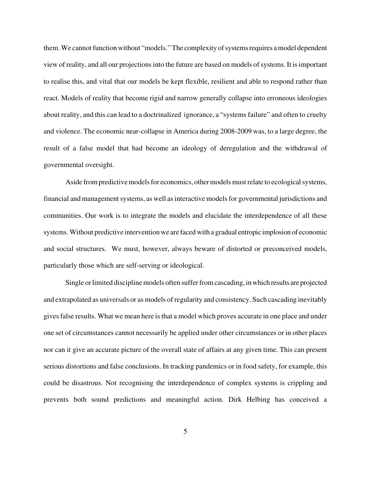them. We cannot function without "models." The complexity of systems requires a model dependent view of reality, and all our projections into the future are based on models of systems. It is important to realise this, and vital that our models be kept flexible, resilient and able to respond rather than react. Models of reality that become rigid and narrow generally collapse into erroneous ideologies about reality, and this can lead to a doctrinalized ignorance, a "systems failure" and often to cruelty and violence. The economic near-collapse in America during 2008-2009 was, to a large degree, the result of a false model that had become an ideology of deregulation and the withdrawal of governmental oversight.

Aside from predictive models for economics, othermodels must relate to ecological systems, financial and management systems, as well as interactive models for governmental jurisdictions and communities. Our work is to integrate the models and elucidate the interdependence of all these systems. Without predictive intervention we are faced with a gradual entropic implosion of economic and social structures. We must, however, always beware of distorted or preconceived models, particularly those which are self-serving or ideological.

Single or limited discipline models often suffer from cascading, inwhich results are projected and extrapolated as universals or as models of regularity and consistency. Such cascading inevitably gives false results. What we mean here is that a model which proves accurate in one place and under one set of circumstances cannot necessarily be applied under other circumstances or in other places nor can it give an accurate picture of the overall state of affairs at any given time. This can present serious distortions and false conclusions. In tracking pandemics or in food safety, for example, this could be disastrous. Not recognising the interdependence of complex systems is crippling and prevents both sound predictions and meaningful action. Dirk Helbing has conceived a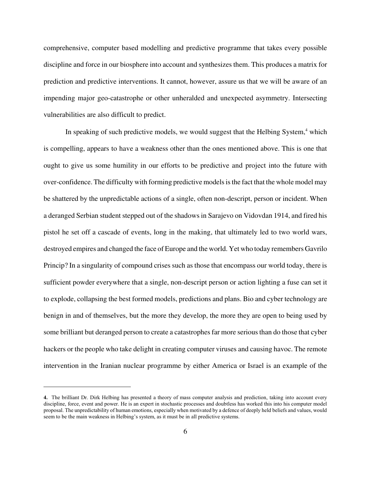comprehensive, computer based modelling and predictive programme that takes every possible discipline and force in our biosphere into account and synthesizes them. This produces a matrix for prediction and predictive interventions. It cannot, however, assure us that we will be aware of an impending major geo-catastrophe or other unheralded and unexpected asymmetry. Intersecting vulnerabilities are also difficult to predict.

In speaking of such predictive models, we would suggest that the Helbing System, $4$  which is compelling, appears to have a weakness other than the ones mentioned above. This is one that ought to give us some humility in our efforts to be predictive and project into the future with over-confidence. The difficulty with forming predictive models is the fact that the whole model may be shattered by the unpredictable actions of a single, often non-descript, person or incident. When a deranged Serbian student stepped out of the shadows in Sarajevo on Vidovdan 1914, and fired his pistol he set off a cascade of events, long in the making, that ultimately led to two world wars, destroyed empires and changed the face of Europe and the world. Yet who today remembers Gavrilo Princip? In a singularity of compound crises such as those that encompass our world today, there is sufficient powder everywhere that a single, non-descript person or action lighting a fuse can set it to explode, collapsing the best formed models, predictions and plans. Bio and cyber technology are benign in and of themselves, but the more they develop, the more they are open to being used by some brilliant but deranged person to create a catastrophes far more serious than do those that cyber hackers or the people who take delight in creating computer viruses and causing havoc. The remote intervention in the Iranian nuclear programme by either America or Israel is an example of the

**<sup>4.</sup>** The brilliant Dr. Dirk Helbing has presented a theory of mass computer analysis and prediction, taking into account every discipline, force, event and power. He is an expert in stochastic processes and doubtless has worked this into his computer model proposal. The unpredictability of human emotions, especially when motivated by a defence of deeply held beliefs and values, would seem to be the main weakness in Helbing's system, as it must be in all predictive systems.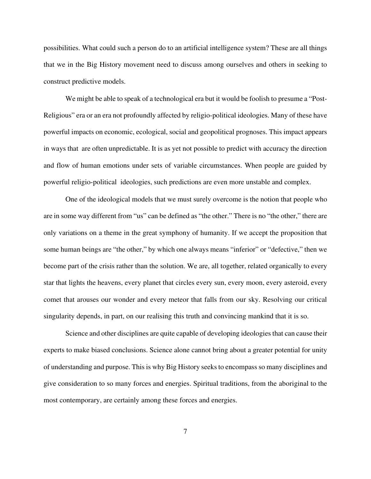possibilities. What could such a person do to an artificial intelligence system? These are all things that we in the Big History movement need to discuss among ourselves and others in seeking to construct predictive models.

We might be able to speak of a technological era but it would be foolish to presume a "Post-Religious" era or an era not profoundly affected by religio-political ideologies. Many of these have powerful impacts on economic, ecological, social and geopolitical prognoses. This impact appears in ways that are often unpredictable. It is as yet not possible to predict with accuracy the direction and flow of human emotions under sets of variable circumstances. When people are guided by powerful religio-political ideologies, such predictions are even more unstable and complex.

One of the ideological models that we must surely overcome is the notion that people who are in some way different from "us" can be defined as "the other." There is no "the other," there are only variations on a theme in the great symphony of humanity. If we accept the proposition that some human beings are "the other," by which one always means "inferior" or "defective," then we become part of the crisis rather than the solution. We are, all together, related organically to every star that lights the heavens, every planet that circles every sun, every moon, every asteroid, every comet that arouses our wonder and every meteor that falls from our sky. Resolving our critical singularity depends, in part, on our realising this truth and convincing mankind that it is so.

Science and other disciplines are quite capable of developing ideologies that can cause their experts to make biased conclusions. Science alone cannot bring about a greater potential for unity of understanding and purpose. This is why Big History seeks to encompass so many disciplines and give consideration to so many forces and energies. Spiritual traditions, from the aboriginal to the most contemporary, are certainly among these forces and energies.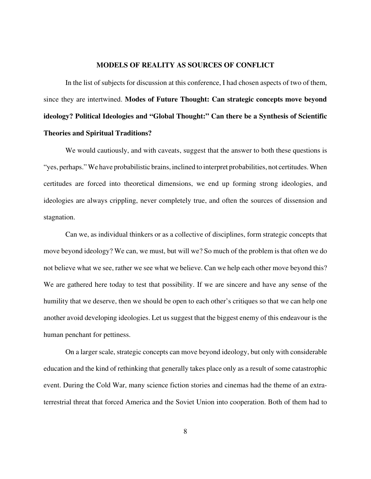#### **MODELS OF REALITY AS SOURCES OF CONFLICT**

In the list of subjects for discussion at this conference, I had chosen aspects of two of them, since they are intertwined. **Modes of Future Thought: Can strategic concepts move beyond ideology? Political Ideologies and "Global Thought:" Can there be a Synthesis of Scientific Theories and Spiritual Traditions?**

We would cautiously, and with caveats, suggest that the answer to both these questions is "yes, perhaps." We have probabilistic brains, inclined to interpret probabilities, not certitudes. When certitudes are forced into theoretical dimensions, we end up forming strong ideologies, and ideologies are always crippling, never completely true, and often the sources of dissension and stagnation.

Can we, as individual thinkers or as a collective of disciplines, form strategic concepts that move beyond ideology? We can, we must, but will we? So much of the problem is that often we do not believe what we see, rather we see what we believe. Can we help each other move beyond this? We are gathered here today to test that possibility. If we are sincere and have any sense of the humility that we deserve, then we should be open to each other's critiques so that we can help one another avoid developing ideologies. Let us suggest that the biggest enemy of this endeavour is the human penchant for pettiness.

On a larger scale, strategic concepts can move beyond ideology, but only with considerable education and the kind of rethinking that generally takes place only as a result of some catastrophic event. During the Cold War, many science fiction stories and cinemas had the theme of an extraterrestrial threat that forced America and the Soviet Union into cooperation. Both of them had to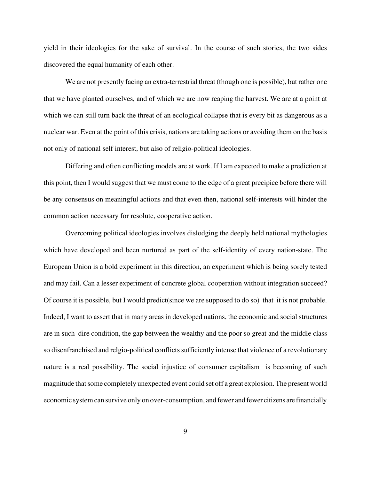yield in their ideologies for the sake of survival. In the course of such stories, the two sides discovered the equal humanity of each other.

We are not presently facing an extra-terrestrial threat (though one is possible), but rather one that we have planted ourselves, and of which we are now reaping the harvest. We are at a point at which we can still turn back the threat of an ecological collapse that is every bit as dangerous as a nuclear war. Even at the point of this crisis, nations are taking actions or avoiding them on the basis not only of national self interest, but also of religio-political ideologies.

Differing and often conflicting models are at work. If I am expected to make a prediction at this point, then I would suggest that we must come to the edge of a great precipice before there will be any consensus on meaningful actions and that even then, national self-interests will hinder the common action necessary for resolute, cooperative action.

Overcoming political ideologies involves dislodging the deeply held national mythologies which have developed and been nurtured as part of the self-identity of every nation-state. The European Union is a bold experiment in this direction, an experiment which is being sorely tested and may fail. Can a lesser experiment of concrete global cooperation without integration succeed? Of course it is possible, but I would predict(since we are supposed to do so) that it is not probable. Indeed, I want to assert that in many areas in developed nations, the economic and social structures are in such dire condition, the gap between the wealthy and the poor so great and the middle class so disenfranchised and relgio-political conflicts sufficiently intense that violence of a revolutionary nature is a real possibility. The social injustice of consumer capitalism is becoming of such magnitude that some completely unexpected event could set off a great explosion. The present world economic system can survive only on over-consumption, and fewer and fewer citizens are financially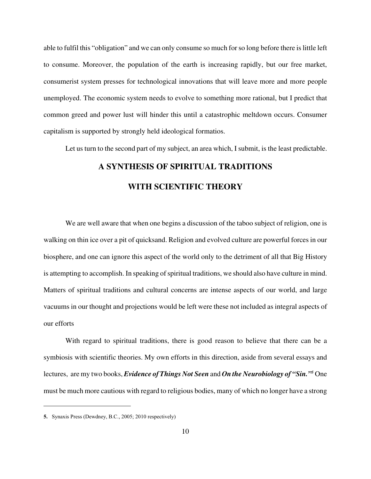able to fulfil this "obligation" and we can only consume so much for so long before there is little left to consume. Moreover, the population of the earth is increasing rapidly, but our free market, consumerist system presses for technological innovations that will leave more and more people unemployed. The economic system needs to evolve to something more rational, but I predict that common greed and power lust will hinder this until a catastrophic meltdown occurs. Consumer capitalism is supported by strongly held ideological formatios.

Let us turn to the second part of my subject, an area which, I submit, is the least predictable.

# **A SYNTHESIS OF SPIRITUAL TRADITIONS WITH SCIENTIFIC THEORY**

We are well aware that when one begins a discussion of the taboo subject of religion, one is walking on thin ice over a pit of quicksand. Religion and evolved culture are powerful forces in our biosphere, and one can ignore this aspect of the world only to the detriment of all that Big History is attempting to accomplish. In speaking of spiritual traditions, we should also have culture in mind. Matters of spiritual traditions and cultural concerns are intense aspects of our world, and large vacuums in our thought and projections would be left were these not included as integral aspects of our efforts

With regard to spiritual traditions, there is good reason to believe that there can be a symbiosis with scientific theories. My own efforts in this direction, aside from several essays and lectures, are my two books, *Evidence of Things Not Seen* and *On the Neurobiology of "Sin.*"<sup>5</sup> One must be much more cautious with regard to religious bodies, many of which no longer have a strong

**<sup>5.</sup>** Synaxis Press (Dewdney, B.C., 2005; 2010 respectively)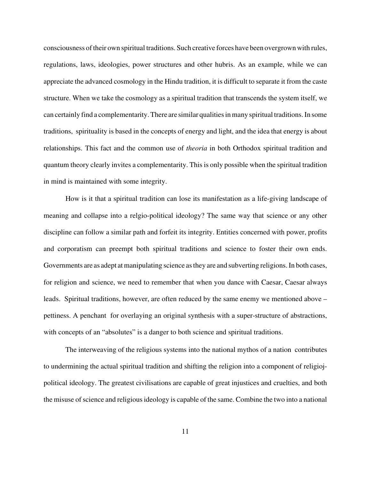consciousness of their own spiritual traditions. Such creative forces have been overgrown with rules, regulations, laws, ideologies, power structures and other hubris. As an example, while we can appreciate the advanced cosmology in the Hindu tradition, it is difficult to separate it from the caste structure. When we take the cosmology as a spiritual tradition that transcends the system itself, we can certainly find a complementarity. There are similar qualities in many spiritual traditions. In some traditions, spirituality is based in the concepts of energy and light, and the idea that energy is about relationships. This fact and the common use of *theoria* in both Orthodox spiritual tradition and quantum theory clearly invites a complementarity. This is only possible when the spiritual tradition in mind is maintained with some integrity.

How is it that a spiritual tradition can lose its manifestation as a life-giving landscape of meaning and collapse into a relgio-political ideology? The same way that science or any other discipline can follow a similar path and forfeit its integrity. Entities concerned with power, profits and corporatism can preempt both spiritual traditions and science to foster their own ends. Governments are as adept at manipulating science as they are and subverting religions. In both cases, for religion and science, we need to remember that when you dance with Caesar, Caesar always leads. Spiritual traditions, however, are often reduced by the same enemy we mentioned above – pettiness. A penchant for overlaying an original synthesis with a super-structure of abstractions, with concepts of an "absolutes" is a danger to both science and spiritual traditions.

The interweaving of the religious systems into the national mythos of a nation contributes to undermining the actual spiritual tradition and shifting the religion into a component of religiojpolitical ideology. The greatest civilisations are capable of great injustices and cruelties, and both the misuse of science and religious ideology is capable of the same. Combine the two into a national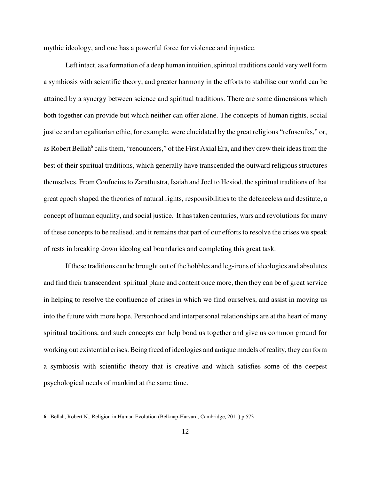mythic ideology, and one has a powerful force for violence and injustice.

Left intact, as a formation of a deep human intuition, spiritual traditions could very well form a symbiosis with scientific theory, and greater harmony in the efforts to stabilise our world can be attained by a synergy between science and spiritual traditions. There are some dimensions which both together can provide but which neither can offer alone. The concepts of human rights, social justice and an egalitarian ethic, for example, were elucidated by the great religious "refuseniks," or, as Robert Bellah<sup>6</sup> calls them, "renouncers," of the First Axial Era, and they drew their ideas from the best of their spiritual traditions, which generally have transcended the outward religious structures themselves. From Confucius to Zarathustra, Isaiah and Joel to Hesiod, the spiritual traditions of that great epoch shaped the theories of natural rights, responsibilities to the defenceless and destitute, a concept of human equality, and social justice. It has taken centuries, wars and revolutions for many of these concepts to be realised, and it remains that part of our efforts to resolve the crises we speak of rests in breaking down ideological boundaries and completing this great task.

If these traditions can be brought out of the hobbles and leg-irons of ideologies and absolutes and find their transcendent spiritual plane and content once more, then they can be of great service in helping to resolve the confluence of crises in which we find ourselves, and assist in moving us into the future with more hope. Personhood and interpersonal relationships are at the heart of many spiritual traditions, and such concepts can help bond us together and give us common ground for working out existential crises. Being freed of ideologies and antique models of reality, they can form a symbiosis with scientific theory that is creative and which satisfies some of the deepest psychological needs of mankind at the same time.

**<sup>6.</sup>** Bellah, Robert N., Religion in Human Evolution (Belknap-Harvard, Cambridge, 2011) p.573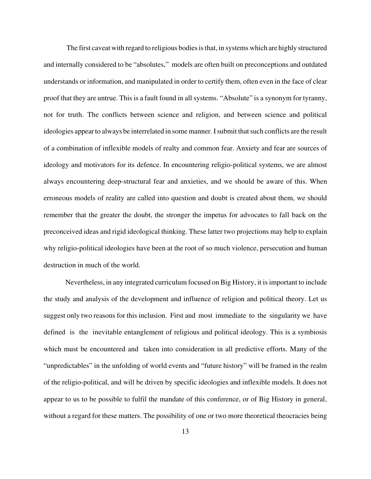The first caveat with regard to religious bodies is that, in systems which are highly structured and internally considered to be "absolutes," models are often built on preconceptions and outdated understands or information, and manipulated in order to certify them, often even in the face of clear proof that they are untrue. This is a fault found in all systems. "Absolute" is a synonym for tyranny, not for truth. The conflicts between science and religion, and between science and political ideologies appear to always be interrelated in some manner. I submit that such conflicts are the result of a combination of inflexible models of realty and common fear. Anxiety and fear are sources of ideology and motivators for its defence. In encountering religio-political systems, we are almost always encountering deep-structural fear and anxieties, and we should be aware of this. When erroneous models of reality are called into question and doubt is created about them, we should remember that the greater the doubt, the stronger the impetus for advocates to fall back on the preconceived ideas and rigid ideological thinking. These latter two projections may help to explain why religio-political ideologies have been at the root of so much violence, persecution and human destruction in much of the world.

Nevertheless, in any integrated curriculum focused on Big History, it is important to include the study and analysis of the development and influence of religion and political theory. Let us suggest only two reasons for this inclusion. First and most immediate to the singularity we have defined is the inevitable entanglement of religious and political ideology. This is a symbiosis which must be encountered and taken into consideration in all predictive efforts. Many of the "unpredictables" in the unfolding of world events and "future history" will be framed in the realm of the religio-political, and will be driven by specific ideologies and inflexible models. It does not appear to us to be possible to fulfil the mandate of this conference, or of Big History in general, without a regard for these matters. The possibility of one or two more theoretical theocracies being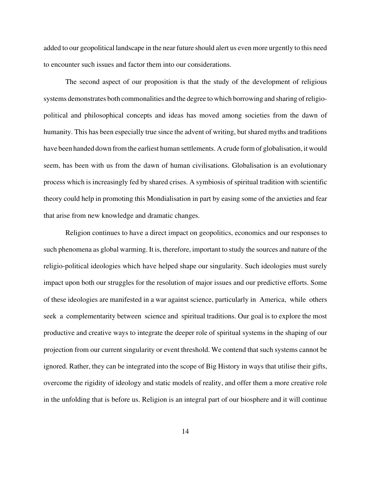added to our geopolitical landscape in the near future should alert us even more urgently to this need to encounter such issues and factor them into our considerations.

The second aspect of our proposition is that the study of the development of religious systems demonstrates both commonalities and the degree to which borrowing and sharing of religiopolitical and philosophical concepts and ideas has moved among societies from the dawn of humanity. This has been especially true since the advent of writing, but shared myths and traditions have been handed down from the earliest human settlements. A crude form of globalisation, it would seem, has been with us from the dawn of human civilisations. Globalisation is an evolutionary process which is increasingly fed by shared crises. A symbiosis of spiritual tradition with scientific theory could help in promoting this Mondialisation in part by easing some of the anxieties and fear that arise from new knowledge and dramatic changes.

Religion continues to have a direct impact on geopolitics, economics and our responses to such phenomena as global warming. It is, therefore, important to study the sources and nature of the religio-political ideologies which have helped shape our singularity. Such ideologies must surely impact upon both our struggles for the resolution of major issues and our predictive efforts. Some of these ideologies are manifested in a war against science, particularly in America, while others seek a complementarity between science and spiritual traditions. Our goal is to explore the most productive and creative ways to integrate the deeper role of spiritual systems in the shaping of our projection from our current singularity or event threshold. We contend that such systems cannot be ignored. Rather, they can be integrated into the scope of Big History in ways that utilise their gifts, overcome the rigidity of ideology and static models of reality, and offer them a more creative role in the unfolding that is before us. Religion is an integral part of our biosphere and it will continue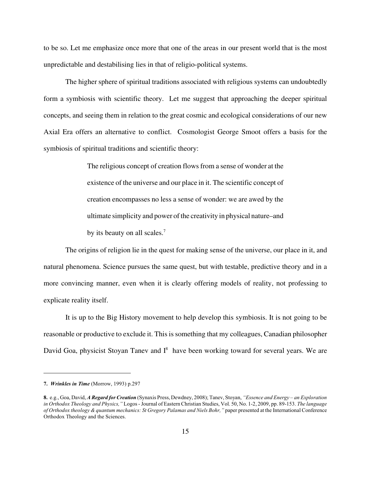to be so. Let me emphasize once more that one of the areas in our present world that is the most unpredictable and destabilising lies in that of religio-political systems.

The higher sphere of spiritual traditions associated with religious systems can undoubtedly form a symbiosis with scientific theory. Let me suggest that approaching the deeper spiritual concepts, and seeing them in relation to the great cosmic and ecological considerations of our new Axial Era offers an alternative to conflict. Cosmologist George Smoot offers a basis for the symbiosis of spiritual traditions and scientific theory:

> The religious concept of creation flows from a sense of wonder at the existence of the universe and our place in it. The scientific concept of creation encompasses no less a sense of wonder: we are awed by the ultimate simplicity and power of the creativity in physical nature–and by its beauty on all scales.<sup>7</sup>

The origins of religion lie in the quest for making sense of the universe, our place in it, and natural phenomena. Science pursues the same quest, but with testable, predictive theory and in a more convincing manner, even when it is clearly offering models of reality, not professing to explicate reality itself.

It is up to the Big History movement to help develop this symbiosis. It is not going to be reasonable or productive to exclude it. This is something that my colleagues, Canadian philosopher David Goa, physicist Stoyan Tanev and  $I^8$  have been working toward for several years. We are

**<sup>7.</sup>** *Wrinkles in Time* (Morrow, 1993) p.297

**<sup>8.</sup>** e.g., Goa, David, *A Regard for Creation* (Synaxis Press, Dewdney, 2008); Tanev, Stoyan, *"Essence and Energy – an Exploration in Orthodox Theology and Physics,"* Logos - Journal of Eastern Christian Studies, Vol. 50, No. 1-2, 2009, pp. 89-153. *The language of Orthodox theology & quantum mechanics: St Gregory Palamas and Niels Bohr,"* paper presented at the International Conference Orthodox Theology and the Sciences.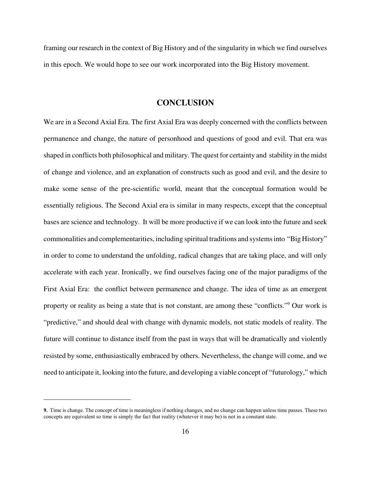framing our research in the context of Big History and of the singularity in which we find ourselves in this epoch. We would hope to see our work incorporated into the Big History movement.

## **CONCLUSION**

We are in a Second Axial Era. The first Axial Era was deeply concerned with the conflicts between permanence and change, the nature of personhood and questions of good and evil. That era was shaped in conflicts both philosophical and military. The quest for certainty and stability in the midst of change and violence, and an explanation of constructs such as good and evil, and the desire to make some sense of the pre-scientific world, meant that the conceptual formation would be essentially religious. The Second Axial era is similar in many respects, except that the conceptual bases are science and technology. It will be more productive if we can look into the future and seek commonalities and complementarities, including spiritual traditions and systems into "Big History" in order to come to understand the unfolding, radical changes that are taking place, and will only accelerate with each year. Ironically, we find ourselves facing one of the major paradigms of the First Axial Era: the conflict between permanence and change. The idea of time as an emergent property or reality as being a state that is not constant, are among these "conflicts."<sup>9</sup> Our work is "predictive," and should deal with change with dynamic models, not static models of reality. The future will continue to distance itself from the past in ways that will be dramatically and violently resisted by some, enthusiastically embraced by others. Nevertheless, the change will come, and we need to anticipate it, looking into the future, and developing a viable concept of "futurology," which

**<sup>9.</sup>** Time is change. The concept of time is meaningless if nothing changes, and no change can happen unless time passes. These two concepts are equivalent so time is simply the fact that reality (whatever it may be) is not in a constant state.